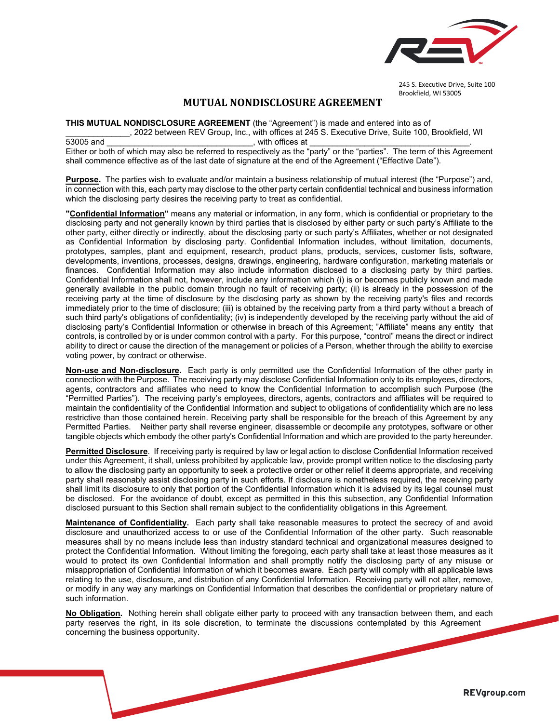

245 S. Executive Drive, Suite 100 Brookfield, WI 53005

## **MUTUAL NONDISCLOSURE AGREEMENT**

**THIS MUTUAL NONDISCLOSURE AGREEMENT** (the "Agreement") is made and entered into as of

\_\_\_\_\_\_\_\_\_\_\_\_\_\_, 2022 between REV Group, Inc., with offices at 245 S. Executive Drive, Suite 100, Brookfield, WI 53005 and \_\_\_\_\_\_\_\_\_\_\_\_\_\_\_\_\_\_\_\_\_\_\_\_\_\_\_\_\_\_\_\_, with offices at \_\_\_\_\_\_\_\_\_\_\_\_\_\_\_\_\_\_\_\_\_\_\_\_\_\_\_\_\_\_\_\_\_\_\_.

Either or both of which may also be referred to respectively as the "party" or the "parties". The term of this Agreement shall commence effective as of the last date of signature at the end of the Agreement ("Effective Date").

**Purpose.** The parties wish to evaluate and/or maintain a business relationship of mutual interest (the "Purpose") and, in connection with this, each party may disclose to the other party certain confidential technical and business information which the disclosing party desires the receiving party to treat as confidential.

**"Confidential Information"** means any material or information, in any form, which is confidential or proprietary to the disclosing party and not generally known by third parties that is disclosed by either party or such party's Affiliate to the other party, either directly or indirectly, about the disclosing party or such party's Affiliates, whether or not designated as Confidential Information by disclosing party. Confidential Information includes, without limitation, documents, prototypes, samples, plant and equipment, research, product plans, products, services, customer lists, software, developments, inventions, processes, designs, drawings, engineering, hardware configuration, marketing materials or finances. Confidential Information may also include information disclosed to a disclosing party by third parties. Confidential Information shall not, however, include any information which (i) is or becomes publicly known and made generally available in the public domain through no fault of receiving party; (ii) is already in the possession of the receiving party at the time of disclosure by the disclosing party as shown by the receiving party's files and records immediately prior to the time of disclosure; (iii) is obtained by the receiving party from a third party without a breach of such third party's obligations of confidentiality; (iv) is independently developed by the receiving party without the aid of disclosing party's Confidential Information or otherwise in breach of this Agreement; "Affiliate" means any entity that controls, is controlled by or is under common control with a party. For this purpose, "control" means the direct or indirect ability to direct or cause the direction of the management or policies of a Person, whether through the ability to exercise voting power, by contract or otherwise.

**Non-use and Non-disclosure.** Each party is only permitted use the Confidential Information of the other party in connection with the Purpose. The receiving party may disclose Confidential Information only to its employees, directors, agents, contractors and affiliates who need to know the Confidential Information to accomplish such Purpose (the "Permitted Parties"). The receiving party's employees, directors, agents, contractors and affiliates will be required to maintain the confidentiality of the Confidential Information and subject to obligations of confidentiality which are no less restrictive than those contained herein. Receiving party shall be responsible for the breach of this Agreement by any Permitted Parties. Neither party shall reverse engineer, disassemble or decompile any prototypes, software or other tangible objects which embody the other party's Confidential Information and which are provided to the party hereunder.

**Permitted Disclosure**. If receiving party is required by law or legal action to disclose Confidential Information received under this Agreement, it shall, unless prohibited by applicable law, provide prompt written notice to the disclosing party to allow the disclosing party an opportunity to seek a protective order or other relief it deems appropriate, and receiving party shall reasonably assist disclosing party in such efforts. If disclosure is nonetheless required, the receiving party shall limit its disclosure to only that portion of the Confidential Information which it is advised by its legal counsel must be disclosed. For the avoidance of doubt, except as permitted in this this subsection, any Confidential Information disclosed pursuant to this Section shall remain subject to the confidentiality obligations in this Agreement.

**Maintenance of Confidentiality.** Each party shall take reasonable measures to protect the secrecy of and avoid disclosure and unauthorized access to or use of the Confidential Information of the other party. Such reasonable measures shall by no means include less than industry standard technical and organizational measures designed to protect the Confidential Information. Without limiting the foregoing, each party shall take at least those measures as it would to protect its own Confidential Information and shall promptly notify the disclosing party of any misuse or misappropriation of Confidential Information of which it becomes aware. Each party will comply with all applicable laws relating to the use, disclosure, and distribution of any Confidential Information. Receiving party will not alter, remove, or modify in any way any markings on Confidential Information that describes the confidential or proprietary nature of such information.

**No Obligation.** Nothing herein shall obligate either party to proceed with any transaction between them, and each party reserves the right, in its sole discretion, to terminate the discussions contemplated by this Agreement concerning the business opportunity.